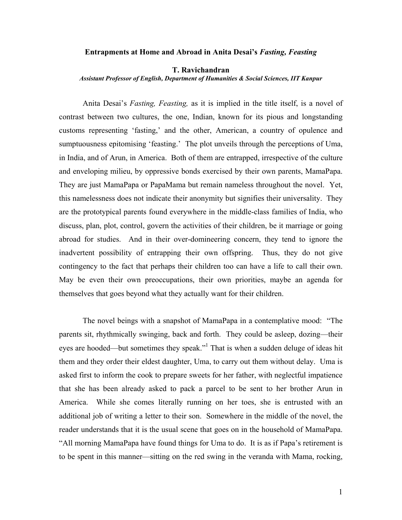## **Entrapments at Home and Abroad in Anita Desai's** *Fasting, Feasting*

## **T. Ravichandran**

*Assistant Professor of English, Department of Humanities & Social Sciences, IIT Kanpur* 

Anita Desai's *Fasting, Feasting,* as it is implied in the title itself, is a novel of contrast between two cultures, the one, Indian, known for its pious and longstanding customs representing 'fasting,' and the other, American, a country of opulence and sumptuousness epitomising 'feasting.' The plot unveils through the perceptions of Uma, in India, and of Arun, in America. Both of them are entrapped, irrespective of the culture and enveloping milieu, by oppressive bonds exercised by their own parents, MamaPapa. They are just MamaPapa or PapaMama but remain nameless throughout the novel. Yet, this namelessness does not indicate their anonymity but signifies their universality. They are the prototypical parents found everywhere in the middle-class families of India, who discuss, plan, plot, control, govern the activities of their children, be it marriage or going abroad for studies. And in their over-domineering concern, they tend to ignore the inadvertent possibility of entrapping their own offspring. Thus, they do not give contingency to the fact that perhaps their children too can have a life to call their own. May be even their own preoccupations, their own priorities, maybe an agenda for themselves that goes beyond what they actually want for their children.

 The novel beings with a snapshot of MamaPapa in a contemplative mood: "The parents sit, rhythmically swinging, back and forth. They could be asleep, dozing—their eyes are hooded—but sometimes they speak."<sup>1</sup> That is when a sudden deluge of ideas hit them and they order their eldest daughter, Uma, to carry out them without delay. Uma is asked first to inform the cook to prepare sweets for her father, with neglectful impatience that she has been already asked to pack a parcel to be sent to her brother Arun in America. While she comes literally running on her toes, she is entrusted with an additional job of writing a letter to their son. Somewhere in the middle of the novel, the reader understands that it is the usual scene that goes on in the household of MamaPapa. "All morning MamaPapa have found things for Uma to do. It is as if Papa's retirement is to be spent in this manner—sitting on the red swing in the veranda with Mama, rocking,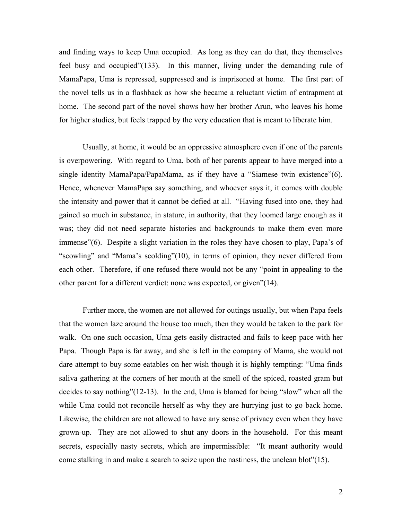and finding ways to keep Uma occupied. As long as they can do that, they themselves feel busy and occupied"(133). In this manner, living under the demanding rule of MamaPapa, Uma is repressed, suppressed and is imprisoned at home. The first part of the novel tells us in a flashback as how she became a reluctant victim of entrapment at home. The second part of the novel shows how her brother Arun, who leaves his home for higher studies, but feels trapped by the very education that is meant to liberate him.

 Usually, at home, it would be an oppressive atmosphere even if one of the parents is overpowering. With regard to Uma, both of her parents appear to have merged into a single identity MamaPapa/PapaMama, as if they have a "Siamese twin existence"(6). Hence, whenever MamaPapa say something, and whoever says it, it comes with double the intensity and power that it cannot be defied at all. "Having fused into one, they had gained so much in substance, in stature, in authority, that they loomed large enough as it was; they did not need separate histories and backgrounds to make them even more immense"(6). Despite a slight variation in the roles they have chosen to play, Papa's of "scowling" and "Mama's scolding"(10), in terms of opinion, they never differed from each other. Therefore, if one refused there would not be any "point in appealing to the other parent for a different verdict: none was expected, or given"(14).

Further more, the women are not allowed for outings usually, but when Papa feels that the women laze around the house too much, then they would be taken to the park for walk. On one such occasion, Uma gets easily distracted and fails to keep pace with her Papa. Though Papa is far away, and she is left in the company of Mama, she would not dare attempt to buy some eatables on her wish though it is highly tempting: "Uma finds saliva gathering at the corners of her mouth at the smell of the spiced, roasted gram but decides to say nothing"(12-13). In the end, Uma is blamed for being "slow" when all the while Uma could not reconcile herself as why they are hurrying just to go back home. Likewise, the children are not allowed to have any sense of privacy even when they have grown-up. They are not allowed to shut any doors in the household. For this meant secrets, especially nasty secrets, which are impermissible: "It meant authority would come stalking in and make a search to seize upon the nastiness, the unclean blot"(15).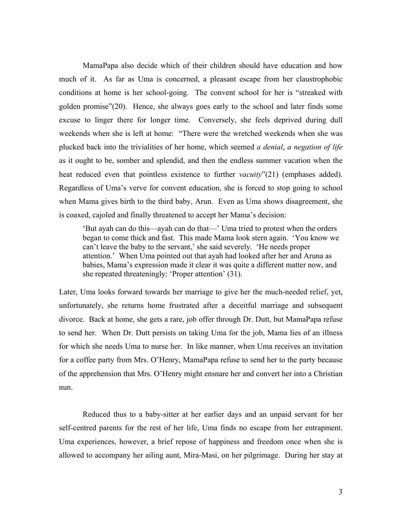MamaPapa also decide which of their children should have education and how much of it. As far as Uma is concerned, a pleasant escape from her claustrophobic conditions at home is her school-going. The convent school for her is "streaked with golden promise"(20). Hence, she always goes early to the school and later finds some excuse to linger there for longer time. Conversely, she feels deprived during dull weekends when she is left at home: "There were the wretched weekends when she was plucked back into the trivialities of her home, which seemed *a denial*, *a negation of life* as it ought to be, somber and splendid, and then the endless summer vacation when the heat reduced even that pointless existence to further *vacuity*"(21) (emphases added). Regardless of Uma's verve for convent education, she is forced to stop going to school when Mama gives birth to the third baby, Arun. Even as Uma shows disagreement, she is coaxed, cajoled and finally threatened to accept her Mama's decision:

'But ayah can do this—ayah can do that—' Uma tried to protest when the orders began to come thick and fast. This made Mama look stern again. 'You know we can't leave the baby to the servant,' she said severely. 'He needs proper attention.' When Uma pointed out that ayah had looked after her and Aruna as babies, Mama's expression made it clear it was quite a different matter now, and she repeated threateningly: 'Proper attention' (31).

Later, Uma looks forward towards her marriage to give her the much-needed relief, yet, unfortunately, she returns home frustrated after a deceitful marriage and subsequent divorce. Back at home, she gets a rare, job offer through Dr. Dutt, but MamaPapa refuse to send her. When Dr. Dutt persists on taking Uma for the job, Mama lies of an illness for which she needs Uma to nurse her. In like manner, when Uma receives an invitation for a coffee party from Mrs. O'Henry, MamaPapa refuse to send her to the party because of the apprehension that Mrs. O'Henry might ensnare her and convert her into a Christian nun.

 Reduced thus to a baby-sitter at her earlier days and an unpaid servant for her self-centred parents for the rest of her life, Uma finds no escape from her entrapment. Uma experiences, however, a brief repose of happiness and freedom once when she is allowed to accompany her ailing aunt, Mira-Masi, on her pilgrimage. During her stay at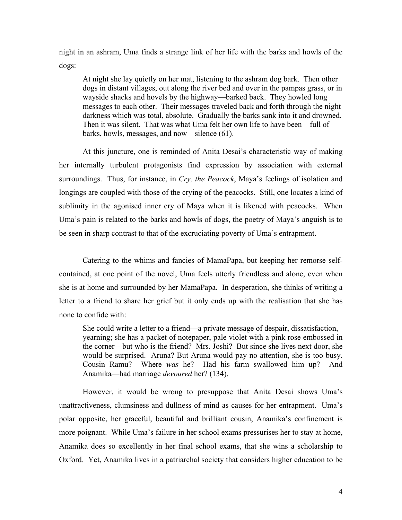night in an ashram, Uma finds a strange link of her life with the barks and howls of the dogs:

At night she lay quietly on her mat, listening to the ashram dog bark. Then other dogs in distant villages, out along the river bed and over in the pampas grass, or in wayside shacks and hovels by the highway—barked back. They howled long messages to each other. Their messages traveled back and forth through the night darkness which was total, absolute. Gradually the barks sank into it and drowned. Then it was silent. That was what Uma felt her own life to have been—full of barks, howls, messages, and now—silence (61).

At this juncture, one is reminded of Anita Desai's characteristic way of making her internally turbulent protagonists find expression by association with external surroundings. Thus, for instance, in *Cry, the Peacock*, Maya's feelings of isolation and longings are coupled with those of the crying of the peacocks. Still, one locates a kind of sublimity in the agonised inner cry of Maya when it is likened with peacocks. When Uma's pain is related to the barks and howls of dogs, the poetry of Maya's anguish is to be seen in sharp contrast to that of the excruciating poverty of Uma's entrapment.

 Catering to the whims and fancies of MamaPapa, but keeping her remorse selfcontained, at one point of the novel, Uma feels utterly friendless and alone, even when she is at home and surrounded by her MamaPapa. In desperation, she thinks of writing a letter to a friend to share her grief but it only ends up with the realisation that she has none to confide with:

 She could write a letter to a friend—a private message of despair, dissatisfaction, yearning; she has a packet of notepaper, pale violet with a pink rose embossed in the corner—but who is the friend? Mrs. Joshi? But since she lives next door, she would be surprised. Aruna? But Aruna would pay no attention, she is too busy. Cousin Ramu? Where *was* he? Had his farm swallowed him up? And Anamika—had marriage *devoured* her? (134).

 However, it would be wrong to presuppose that Anita Desai shows Uma's unattractiveness, clumsiness and dullness of mind as causes for her entrapment. Uma's polar opposite, her graceful, beautiful and brilliant cousin, Anamika's confinement is more poignant. While Uma's failure in her school exams pressurises her to stay at home, Anamika does so excellently in her final school exams, that she wins a scholarship to Oxford. Yet, Anamika lives in a patriarchal society that considers higher education to be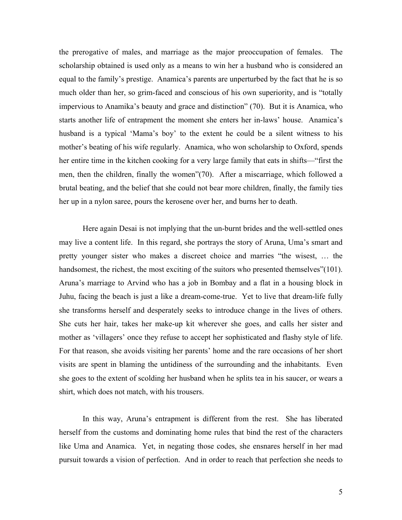the prerogative of males, and marriage as the major preoccupation of females. The scholarship obtained is used only as a means to win her a husband who is considered an equal to the family's prestige. Anamica's parents are unperturbed by the fact that he is so much older than her, so grim-faced and conscious of his own superiority, and is "totally impervious to Anamika's beauty and grace and distinction" (70). But it is Anamica, who starts another life of entrapment the moment she enters her in-laws' house. Anamica's husband is a typical 'Mama's boy' to the extent he could be a silent witness to his mother's beating of his wife regularly. Anamica, who won scholarship to Oxford, spends her entire time in the kitchen cooking for a very large family that eats in shifts—"first the men, then the children, finally the women"(70). After a miscarriage, which followed a brutal beating, and the belief that she could not bear more children, finally, the family ties her up in a nylon saree, pours the kerosene over her, and burns her to death.

 Here again Desai is not implying that the un-burnt brides and the well-settled ones may live a content life. In this regard, she portrays the story of Aruna, Uma's smart and pretty younger sister who makes a discreet choice and marries "the wisest, … the handsomest, the richest, the most exciting of the suitors who presented themselves"(101). Aruna's marriage to Arvind who has a job in Bombay and a flat in a housing block in Juhu, facing the beach is just a like a dream-come-true. Yet to live that dream-life fully she transforms herself and desperately seeks to introduce change in the lives of others. She cuts her hair, takes her make-up kit wherever she goes, and calls her sister and mother as 'villagers' once they refuse to accept her sophisticated and flashy style of life. For that reason, she avoids visiting her parents' home and the rare occasions of her short visits are spent in blaming the untidiness of the surrounding and the inhabitants. Even she goes to the extent of scolding her husband when he splits tea in his saucer, or wears a shirt, which does not match, with his trousers.

In this way, Aruna's entrapment is different from the rest. She has liberated herself from the customs and dominating home rules that bind the rest of the characters like Uma and Anamica. Yet, in negating those codes, she ensnares herself in her mad pursuit towards a vision of perfection. And in order to reach that perfection she needs to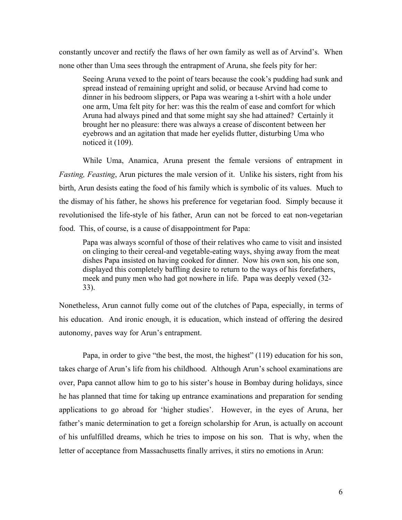constantly uncover and rectify the flaws of her own family as well as of Arvind's. When none other than Uma sees through the entrapment of Aruna, she feels pity for her:

 Seeing Aruna vexed to the point of tears because the cook's pudding had sunk and spread instead of remaining upright and solid, or because Arvind had come to dinner in his bedroom slippers, or Papa was wearing a t-shirt with a hole under one arm, Uma felt pity for her: was this the realm of ease and comfort for which Aruna had always pined and that some might say she had attained? Certainly it brought her no pleasure: there was always a crease of discontent between her eyebrows and an agitation that made her eyelids flutter, disturbing Uma who noticed it (109).

 While Uma, Anamica, Aruna present the female versions of entrapment in *Fasting, Feasting*, Arun pictures the male version of it. Unlike his sisters, right from his birth, Arun desists eating the food of his family which is symbolic of its values. Much to the dismay of his father, he shows his preference for vegetarian food. Simply because it revolutionised the life-style of his father, Arun can not be forced to eat non-vegetarian food. This, of course, is a cause of disappointment for Papa:

 Papa was always scornful of those of their relatives who came to visit and insisted on clinging to their cereal-and vegetable-eating ways, shying away from the meat dishes Papa insisted on having cooked for dinner. Now his own son, his one son, displayed this completely baffling desire to return to the ways of his forefathers, meek and puny men who had got nowhere in life. Papa was deeply vexed (32- 33).

Nonetheless, Arun cannot fully come out of the clutches of Papa, especially, in terms of his education. And ironic enough, it is education, which instead of offering the desired autonomy, paves way for Arun's entrapment.

 Papa, in order to give "the best, the most, the highest" (119) education for his son, takes charge of Arun's life from his childhood. Although Arun's school examinations are over, Papa cannot allow him to go to his sister's house in Bombay during holidays, since he has planned that time for taking up entrance examinations and preparation for sending applications to go abroad for 'higher studies'. However, in the eyes of Aruna, her father's manic determination to get a foreign scholarship for Arun, is actually on account of his unfulfilled dreams, which he tries to impose on his son. That is why, when the letter of acceptance from Massachusetts finally arrives, it stirs no emotions in Arun: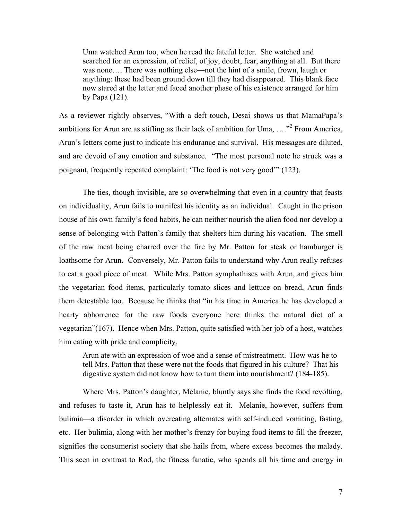Uma watched Arun too, when he read the fateful letter. She watched and searched for an expression, of relief, of joy, doubt, fear, anything at all. But there was none.... There was nothing else—not the hint of a smile, frown, laugh or anything: these had been ground down till they had disappeared. This blank face now stared at the letter and faced another phase of his existence arranged for him by Papa (121).

As a reviewer rightly observes, "With a deft touch, Desai shows us that MamaPapa's ambitions for Arun are as stifling as their lack of ambition for Uma,  $\ldots$ <sup>2</sup> From America, Arun's letters come just to indicate his endurance and survival. His messages are diluted, and are devoid of any emotion and substance. "The most personal note he struck was a poignant, frequently repeated complaint: 'The food is not very good'" (123).

The ties, though invisible, are so overwhelming that even in a country that feasts on individuality, Arun fails to manifest his identity as an individual. Caught in the prison house of his own family's food habits, he can neither nourish the alien food nor develop a sense of belonging with Patton's family that shelters him during his vacation. The smell of the raw meat being charred over the fire by Mr. Patton for steak or hamburger is loathsome for Arun. Conversely, Mr. Patton fails to understand why Arun really refuses to eat a good piece of meat. While Mrs. Patton symphathises with Arun, and gives him the vegetarian food items, particularly tomato slices and lettuce on bread, Arun finds them detestable too. Because he thinks that "in his time in America he has developed a hearty abhorrence for the raw foods everyone here thinks the natural diet of a vegetarian"(167). Hence when Mrs. Patton, quite satisfied with her job of a host, watches him eating with pride and complicity,

 Arun ate with an expression of woe and a sense of mistreatment. How was he to tell Mrs. Patton that these were not the foods that figured in his culture? That his digestive system did not know how to turn them into nourishment? (184-185).

Where Mrs. Patton's daughter, Melanie, bluntly says she finds the food revolting, and refuses to taste it, Arun has to helplessly eat it. Melanie, however, suffers from bulimia—a disorder in which overeating alternates with self-induced vomiting, fasting, etc. Her bulimia, along with her mother's frenzy for buying food items to fill the freezer, signifies the consumerist society that she hails from, where excess becomes the malady. This seen in contrast to Rod, the fitness fanatic, who spends all his time and energy in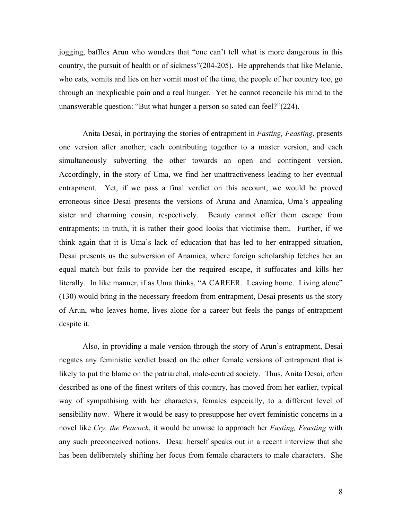jogging, baffles Arun who wonders that "one can't tell what is more dangerous in this country, the pursuit of health or of sickness"(204-205). He apprehends that like Melanie, who eats, vomits and lies on her vomit most of the time, the people of her country too, go through an inexplicable pain and a real hunger. Yet he cannot reconcile his mind to the unanswerable question: "But what hunger a person so sated can feel?"(224).

 Anita Desai, in portraying the stories of entrapment in *Fasting, Feasting*, presents one version after another; each contributing together to a master version, and each simultaneously subverting the other towards an open and contingent version. Accordingly, in the story of Uma, we find her unattractiveness leading to her eventual entrapment. Yet, if we pass a final verdict on this account, we would be proved erroneous since Desai presents the versions of Aruna and Anamica, Uma's appealing sister and charming cousin, respectively. Beauty cannot offer them escape from entrapments; in truth, it is rather their good looks that victimise them. Further, if we think again that it is Uma's lack of education that has led to her entrapped situation, Desai presents us the subversion of Anamica, where foreign scholarship fetches her an equal match but fails to provide her the required escape, it suffocates and kills her literally. In like manner, if as Uma thinks, "A CAREER. Leaving home. Living alone" (130) would bring in the necessary freedom from entrapment, Desai presents us the story of Arun, who leaves home, lives alone for a career but feels the pangs of entrapment despite it.

 Also, in providing a male version through the story of Arun's entrapment, Desai negates any feministic verdict based on the other female versions of entrapment that is likely to put the blame on the patriarchal, male-centred society. Thus, Anita Desai, often described as one of the finest writers of this country, has moved from her earlier, typical way of sympathising with her characters, females especially, to a different level of sensibility now. Where it would be easy to presuppose her overt feministic concerns in a novel like *Cry, the Peacock*, it would be unwise to approach her *Fasting, Feasting* with any such preconceived notions. Desai herself speaks out in a recent interview that she has been deliberately shifting her focus from female characters to male characters. She